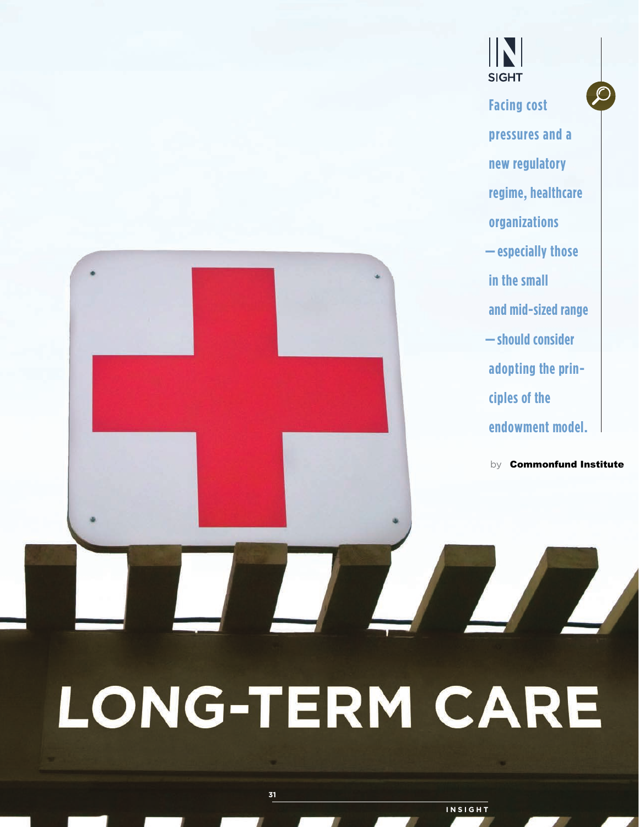

**INSIGHT**

IN

**SIGHT**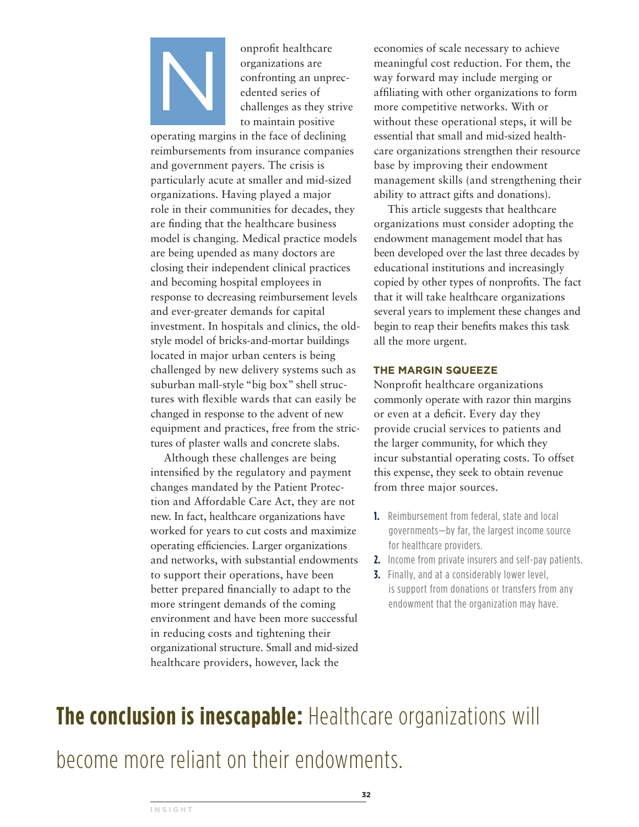

onprofit healthcare<br>
organizations are<br>
confronting an unpr<br>
edented series of<br>
challenges as they st<br>
to maintain positive organizations are confronting an unprecedented series of challenges as they strive to maintain positive

operating margins in the face of declining reimbursements from insurance companies and government payers. The crisis is particularly acute at smaller and mid-sized organizations. Having played a major role in their communities for decades, they are finding that the healthcare business model is changing. Medical practice models are being upended as many doctors are closing their independent clinical practices and becoming hospital employees in response to decreasing reimbursement levels and ever-greater demands for capital investment. In hospitals and clinics, the oldstyle model of bricks-and-mortar buildings located in major urban centers is being challenged by new delivery systems such as suburban mall-style "big box" shell structures with flexible wards that can easily be changed in response to the advent of new equipment and practices, free from the strictures of plaster walls and concrete slabs.

Although these challenges are being intensified by the regulatory and payment changes mandated by the Patient Protection and Affordable Care Act, they are not new. In fact, healthcare organizations have worked for years to cut costs and maximize operating efficiencies. Larger organizations and networks, with substantial endowments to support their operations, have been better prepared financially to adapt to the more stringent demands of the coming environment and have been more successful in reducing costs and tightening their organizational structure. Small and mid-sized healthcare providers, however, lack the

economies of scale necessary to achieve meaningful cost reduction. For them, the way forward may include merging or affiliating with other organizations to form more competitive networks. With or without these operational steps, it will be essential that small and mid-sized healthcare organizations strengthen their resource base by improving their endowment management skills (and strengthening their ability to attract gifts and donations).

This article suggests that healthcare organizations must consider adopting the endowment management model that has been developed over the last three decades by educational institutions and increasingly copied by other types of nonprofits. The fact that it will take healthcare organizations several years to implement these changes and begin to reap their benefits makes this task all the more urgent.

### **THE MARGIN SQUEEZE**

Nonprofit healthcare organizations commonly operate with razor thin margins or even at a deficit. Every day they provide crucial services to patients and the larger community, for which they incur substantial operating costs. To offset this expense, they seek to obtain revenue from three major sources.

- **1.** Reimbursement from federal, state and local governments—by far, the largest income source for healthcare providers.
- **2.** Income from private insurers and self-pay patients.
- **3.** Finally, and at a considerably lower level, is support from donations or transfers from any endowment that the organization may have.

# **The conclusion is inescapable:** Healthcare organizations will

become more reliant on their endowments.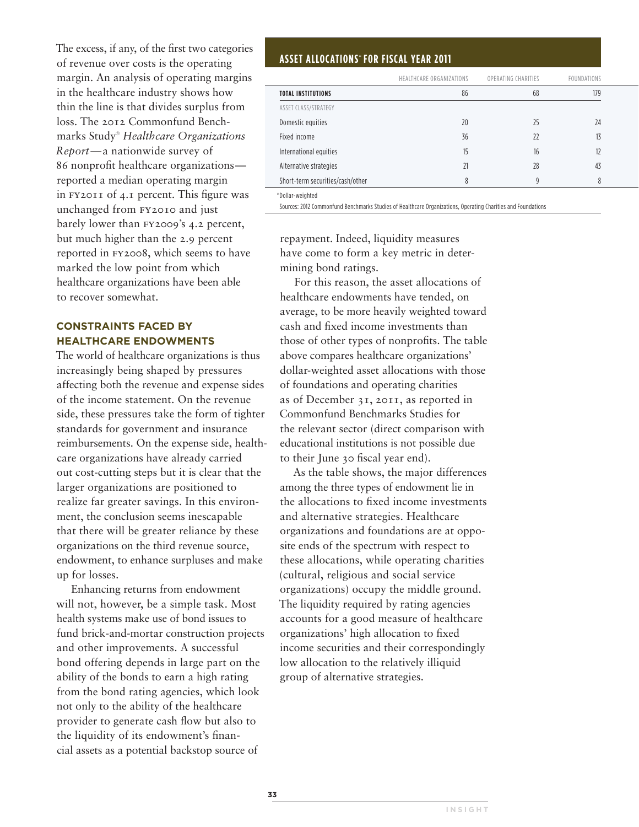The excess, if any, of the first two categories of revenue over costs is the operating margin. An analysis of operating margins in the healthcare industry shows how thin the line is that divides surplus from loss. The 2012 Commonfund Benchmarks Study® *Healthcare Organizations Report*—a nationwide survey of 86 nonprofit healthcare organizations reported a median operating margin in fy2011 of 4.1 percent. This figure was unchanged from fy2010 and just barely lower than fy2009's 4.2 percent, but much higher than the 2.9 percent reported in fy2008, which seems to have marked the low point from which healthcare organizations have been able to recover somewhat.

# **CONSTRAINTS FACED BY HEALTHCARE ENDOWMENTS**

The world of healthcare organizations is thus increasingly being shaped by pressures affecting both the revenue and expense sides of the income statement. On the revenue side, these pressures take the form of tighter standards for government and insurance reimbursements. On the expense side, healthcare organizations have already carried out cost-cutting steps but it is clear that the larger organizations are positioned to realize far greater savings. In this environment, the conclusion seems inescapable that there will be greater reliance by these organizations on the third revenue source, endowment, to enhance surpluses and make up for losses.

Enhancing returns from endowment will not, however, be a simple task. Most health systems make use of bond issues to fund brick-and-mortar construction projects and other improvements. A successful bond offering depends in large part on the ability of the bonds to earn a high rating from the bond rating agencies, which look not only to the ability of the healthcare provider to generate cash flow but also to the liquidity of its endowment's financial assets as a potential backstop source of

## **ASSET ALLOCATIONS**\* **FOR FISCAL YEAR 2011**

|                                  | HEALTHCARE ORGANIZATIONS | OPERATING CHARITIES | FOUNDATIONS |
|----------------------------------|--------------------------|---------------------|-------------|
| <b>TOTAL INSTITUTIONS</b>        | 86                       | 68                  | 179         |
| ASSET CLASS/STRATEGY             |                          |                     |             |
| Domestic equities                | 20                       | 25                  | 24          |
| Fixed income                     | 36                       | 22                  | 13          |
| International equities           | 15                       | 16                  | 12          |
| Alternative strategies           | 21                       | 28                  | 43          |
| Short-term securities/cash/other | 8                        | q                   | 8           |
| *Dollar-weighted                 |                          |                     |             |

Sources: 2012 Commonfund Benchmarks Studies of Healthcare Organizations, Operating Charities and Foundations

repayment. Indeed, liquidity measures have come to form a key metric in determining bond ratings.

For this reason, the asset allocations of healthcare endowments have tended, on average, to be more heavily weighted toward cash and fixed income investments than those of other types of nonprofits. The table above compares healthcare organizations' dollar-weighted asset allocations with those of foundations and operating charities as of December 31, 2011, as reported in Commonfund Benchmarks Studies for the relevant sector (direct comparison with educational institutions is not possible due to their June 30 fiscal year end).

As the table shows, the major differences among the three types of endowment lie in the allocations to fixed income investments and alternative strategies. Healthcare organizations and foundations are at opposite ends of the spectrum with respect to these allocations, while operating charities (cultural, religious and social service organizations) occupy the middle ground. The liquidity required by rating agencies accounts for a good measure of healthcare organizations' high allocation to fixed income securities and their correspondingly low allocation to the relatively illiquid group of alternative strategies.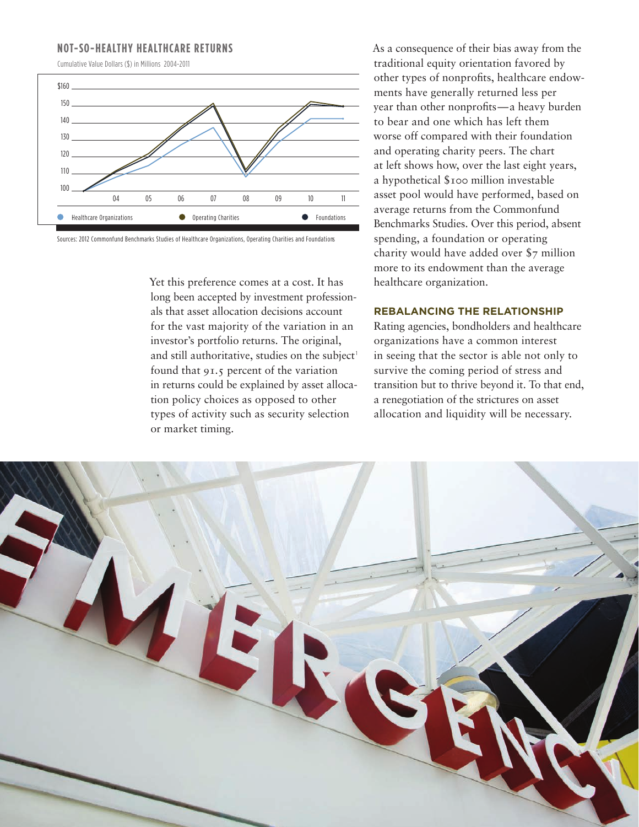## **NOT-SO-HEALTHY HEALTHCARE RETURNS**

Cumulative Value Dollars (\$) in Millions 2004–2011



Sources: 2012 Commonfund Benchmarks Studies of Healthcare Organizations, Operating Charities and Foundations

Yet this preference comes at a cost. It has long been accepted by investment professionals that asset allocation decisions account for the vast majority of the variation in an investor's portfolio returns. The original, and still authoritative, studies on the subject<sup>1</sup> found that 91.5 percent of the variation in returns could be explained by asset allocation policy choices as opposed to other types of activity such as security selection or market timing.

As a consequence of their bias away from the traditional equity orientation favored by other types of nonprofits, healthcare endowments have generally returned less per year than other nonprofits—a heavy burden to bear and one which has left them worse off compared with their foundation and operating charity peers. The chart at left shows how, over the last eight years, a hypothetical \$100 million investable asset pool would have performed, based on average returns from the Commonfund Benchmarks Studies. Over this period, absent spending, a foundation or operating charity would have added over \$7 million more to its endowment than the average healthcare organization.

#### **REBALANCING THE RELATIONSHIP**

Rating agencies, bondholders and healthcare organizations have a common interest in seeing that the sector is able not only to survive the coming period of stress and transition but to thrive beyond it. To that end, a renegotiation of the strictures on asset allocation and liquidity will be necessary.